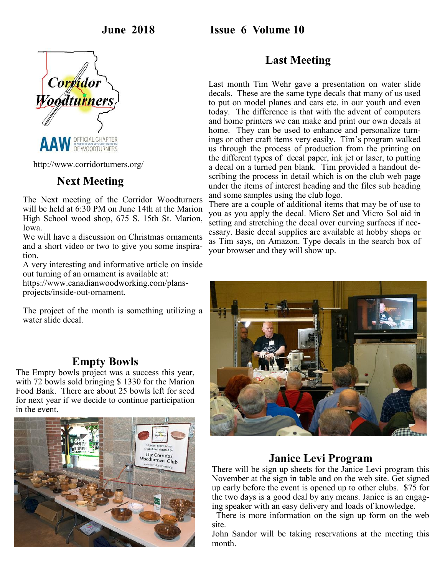**June 2018 Issue 6 Volume 10**



http://www.corridorturners.org/

## **Next Meeting**

The Next meeting of the Corridor Woodturners will be held at 6:30 PM on June 14th at the Marion High School wood shop, 675 S. 15th St. Marion, Iowa.

We will have a discussion on Christmas ornaments and a short video or two to give you some inspiration.

A very interesting and informative article on inside out turning of an ornament is available at:

https://www.canadianwoodworking.com/plansprojects/inside-out-ornament.

The project of the month is something utilizing a water slide decal.

## **Empty Bowls**

The Empty bowls project was a success this year, with 72 bowls sold bringing \$1330 for the Marion Food Bank. There are about 25 bowls left for seed for next year if we decide to continue participation in the event.



## **Last Meeting**

Last month Tim Wehr gave a presentation on water slide decals. These are the same type decals that many of us used to put on model planes and cars etc. in our youth and even today. The difference is that with the advent of computers and home printers we can make and print our own decals at home. They can be used to enhance and personalize turnings or other craft items very easily. Tim's program walked us through the process of production from the printing on the different types of decal paper, ink jet or laser, to putting a decal on a turned pen blank. Tim provided a handout describing the process in detail which is on the club web page under the items of interest heading and the files sub heading and some samples using the club logo.

There are a couple of additional items that may be of use to you as you apply the decal. Micro Set and Micro Sol aid in setting and stretching the decal over curving surfaces if necessary. Basic decal supplies are available at hobby shops or as Tim says, on Amazon. Type decals in the search box of your browser and they will show up.



## **Janice Levi Program**

There will be sign up sheets for the Janice Levi program this November at the sign in table and on the web site. Get signed up early before the event is opened up to other clubs. \$75 for the two days is a good deal by any means. Janice is an engaging speaker with an easy delivery and loads of knowledge.

 There is more information on the sign up form on the web site.

John Sandor will be taking reservations at the meeting this month.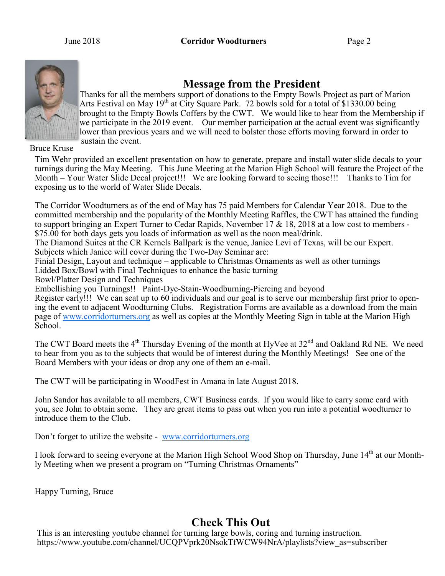

## **Message from the President**

Thanks for all the members support of donations to the Empty Bowls Project as part of Marion Arts Festival on May 19<sup>th</sup> at City Square Park. 72 bowls sold for a total of \$1330.00 being brought to the Empty Bowls Coffers by the CWT. We would like to hear from the Membership if we participate in the 2019 event. Our member participation at the actual event was significantly lower than previous years and we will need to bolster those efforts moving forward in order to sustain the event.

Bruce Kruse

Tim Wehr provided an excellent presentation on how to generate, prepare and install water slide decals to your turnings during the May Meeting. This June Meeting at the Marion High School will feature the Project of the Month – Your Water Slide Decal project!!! We are looking forward to seeing those!!! Thanks to Tim for exposing us to the world of Water Slide Decals.

The Corridor Woodturners as of the end of May has 75 paid Members for Calendar Year 2018. Due to the committed membership and the popularity of the Monthly Meeting Raffles, the CWT has attained the funding to support bringing an Expert Turner to Cedar Rapids, November 17 & 18, 2018 at a low cost to members - \$75.00 for both days gets you loads of information as well as the noon meal/drink.

The Diamond Suites at the CR Kernels Ballpark is the venue, Janice Levi of Texas, will be our Expert. Subjects which Janice will cover during the Two-Day Seminar are:

Finial Design, Layout and technique – applicable to Christmas Ornaments as well as other turnings

Lidded Box/Bowl with Final Techniques to enhance the basic turning

Bowl/Platter Design and Techniques

Embellishing you Turnings!! Paint-Dye-Stain-Woodburning-Piercing and beyond

Register early!!! We can seat up to 60 individuals and our goal is to serve our membership first prior to opening the event to adjacent Woodturning Clubs. Registration Forms are available as a download from the main page of [www.corridorturners.org](http://www.corridorturners.org) as well as copies at the Monthly Meeting Sign in table at the Marion High School.

The CWT Board meets the 4<sup>th</sup> Thursday Evening of the month at HyVee at 32<sup>nd</sup> and Oakland Rd NE. We need to hear from you as to the subjects that would be of interest during the Monthly Meetings! See one of the Board Members with your ideas or drop any one of them an e-mail.

The CWT will be participating in WoodFest in Amana in late August 2018.

John Sandor has available to all members, CWT Business cards. If you would like to carry some card with you, see John to obtain some. They are great items to pass out when you run into a potential woodturner to introduce them to the Club.

Don't forget to utilize the website - [www.corridorturners.org](http://www.corridorturners.org)

I look forward to seeing everyone at the Marion High School Wood Shop on Thursday, June 14<sup>th</sup> at our Monthly Meeting when we present a program on "Turning Christmas Ornaments"

Happy Turning, Bruce

## **Check This Out**

This is an interesting youtube channel for turning large bowls, coring and turning instruction. https://www.youtube.com/channel/UCQPVprk20NsokTfWCW94NrA/playlists?view\_as=subscriber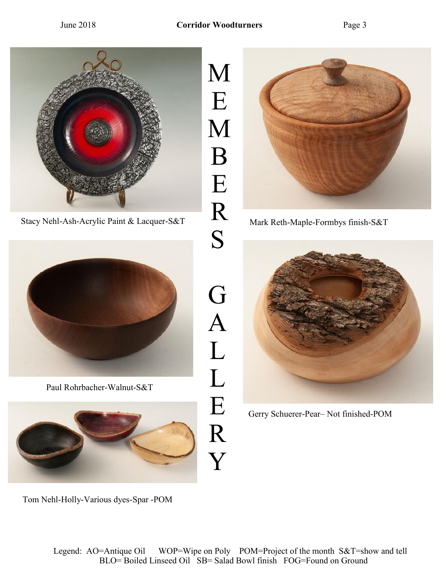

Stacy Nehl-Ash-Acrylic Paint & Lacquer-S&T Mark Reth-Maple-Formbys finish-S&T



Paul Rohrbacher-Walnut-S&T



M E M B E R S G A L L E R Y





Gerry Schuerer-Pear– Not finished-POM

Tom Nehl-Holly-Various dyes-Spar -POM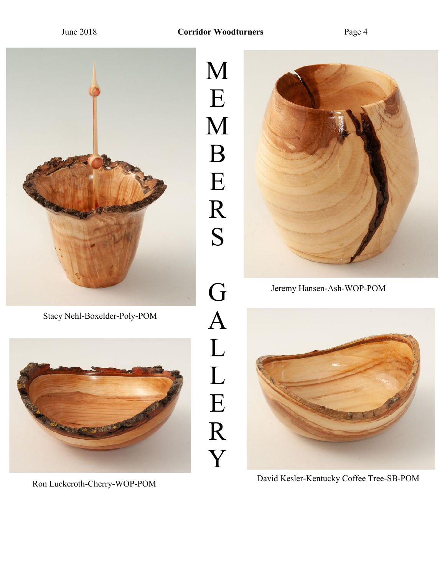

Stacy Nehl-Boxelder-Poly-POM



M E M B E R S G A L L E R Y



Jeremy Hansen-Ash-WOP-POM



Ron Luckeroth-Cherry-WOP-POM David Kesler-Kentucky Coffee Tree-SB-POM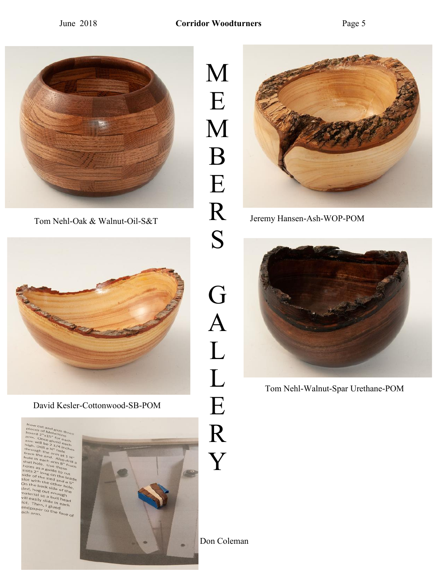



David Kesler-Cottonwood-SB-POM

 $cut<sub>a</sub>$ 

Pieces of Melanun<br>Doard 2"x15" filmin<br>arm. Once ell. for e board 2x Wellam in the subset of the face of the face of the same with the subset of the same of the face of the face of the face of the same of the same of the same of the same subset of the same of the subset of the same



M E M B E R S G A L L E R Y



Tom Nehl-Oak & Walnut-Oil-S&T Jeremy Hansen-Ash-WOP-POM



Tom Nehl-Walnut-Spar Urethane-POM

Don Coleman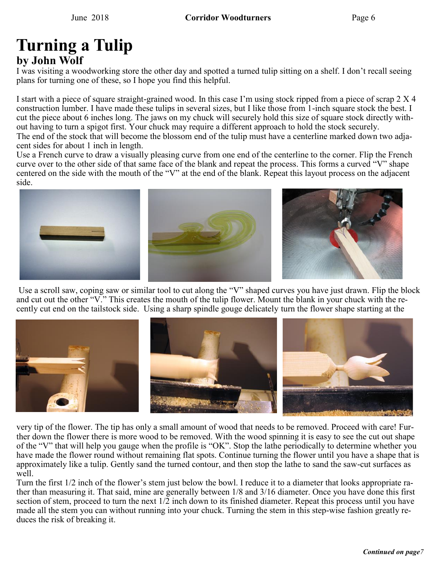# **Turning a Tulip by John Wolf**

I was visiting a woodworking store the other day and spotted a turned tulip sitting on a shelf. I don't recall seeing plans for turning one of these, so I hope you find this helpful.

I start with a piece of square straight-grained wood. In this case I'm using stock ripped from a piece of scrap 2 X 4 construction lumber. I have made these tulips in several sizes, but I like those from 1-inch square stock the best. I cut the piece about 6 inches long. The jaws on my chuck will securely hold this size of square stock directly without having to turn a spigot first. Your chuck may require a different approach to hold the stock securely. The end of the stock that will become the blossom end of the tulip must have a centerline marked down two adja-

cent sides for about 1 inch in length.

Use a French curve to draw a visually pleasing curve from one end of the centerline to the corner. Flip the French curve over to the other side of that same face of the blank and repeat the process. This forms a curved "V" shape centered on the side with the mouth of the "V" at the end of the blank. Repeat this layout process on the adjacent side.



Use a scroll saw, coping saw or similar tool to cut along the "V" shaped curves you have just drawn. Flip the block and cut out the other "V." This creates the mouth of the tulip flower. Mount the blank in your chuck with the recently cut end on the tailstock side. Using a sharp spindle gouge delicately turn the flower shape starting at the



very tip of the flower. The tip has only a small amount of wood that needs to be removed. Proceed with care! Further down the flower there is more wood to be removed. With the wood spinning it is easy to see the cut out shape of the "V" that will help you gauge when the profile is "OK". Stop the lathe periodically to determine whether you have made the flower round without remaining flat spots. Continue turning the flower until you have a shape that is approximately like a tulip. Gently sand the turned contour, and then stop the lathe to sand the saw-cut surfaces as well.

Turn the first 1/2 inch of the flower's stem just below the bowl. I reduce it to a diameter that looks appropriate rather than measuring it. That said, mine are generally between 1/8 and 3/16 diameter. Once you have done this first section of stem, proceed to turn the next 1/2 inch down to its finished diameter. Repeat this process until you have made all the stem you can without running into your chuck. Turning the stem in this step-wise fashion greatly reduces the risk of breaking it.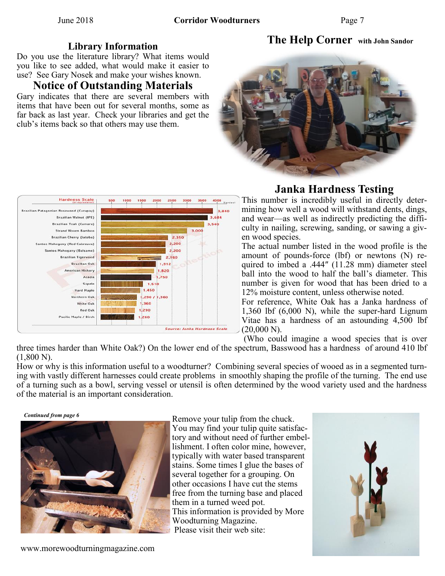## **The Help Corner with John Sandor**

### **Library Information**

Do you use the literature library? What items would you like to see added, what would make it easier to use? See Gary Nosek and make your wishes known.

## **Notice of Outstanding Materials**

Gary indicates that there are several members with items that have been out for several months, some as far back as last year. Check your libraries and get the club's items back so that others may use them.





## **Janka Hardness Testing**

This number is incredibly useful in directly determining how well a wood will withstand dents, dings, and wear—as well as indirectly predicting the difficulty in nailing, screwing, sanding, or sawing a given wood species.

The actual number listed in the wood profile is the amount of pounds-force (lbf) or newtons (N) required to imbed a .444″ (11.28 mm) diameter steel ball into the wood to half the ball's diameter. This number is given for wood that has been dried to a 12% moisture content, unless otherwise noted.

For reference, White Oak has a Janka hardness of 1,360 lbf (6,000 N), while the super-hard Lignum Vitae has a hardness of an astounding 4,500 lbf  $(20,000 \text{ N}).$ 

(Who could imagine a wood species that is over

three times harder than White Oak?) On the lower end of the spectrum, Basswood has a hardness of around 410 lbf  $(1,800 N)$ .

How or why is this information useful to a woodturner? Combining several species of wooed as in a segmented turning with vastly different harnesses could create problems in smoothly shaping the profile of the turning. The end use of a turning such as a bowl, serving vessel or utensil is often determined by the wood variety used and the hardness of the material is an important consideration.

*Continued from page 6*



Remove your tulip from the chuck. You may find your tulip quite satisfactory and without need of further embellishment. I often color mine, however, typically with water based transparent stains. Some times I glue the bases of several together for a grouping. On other occasions I have cut the stems free from the turning base and placed them in a turned weed pot. This information is provided by More Woodturning Magazine. Please visit their web site: